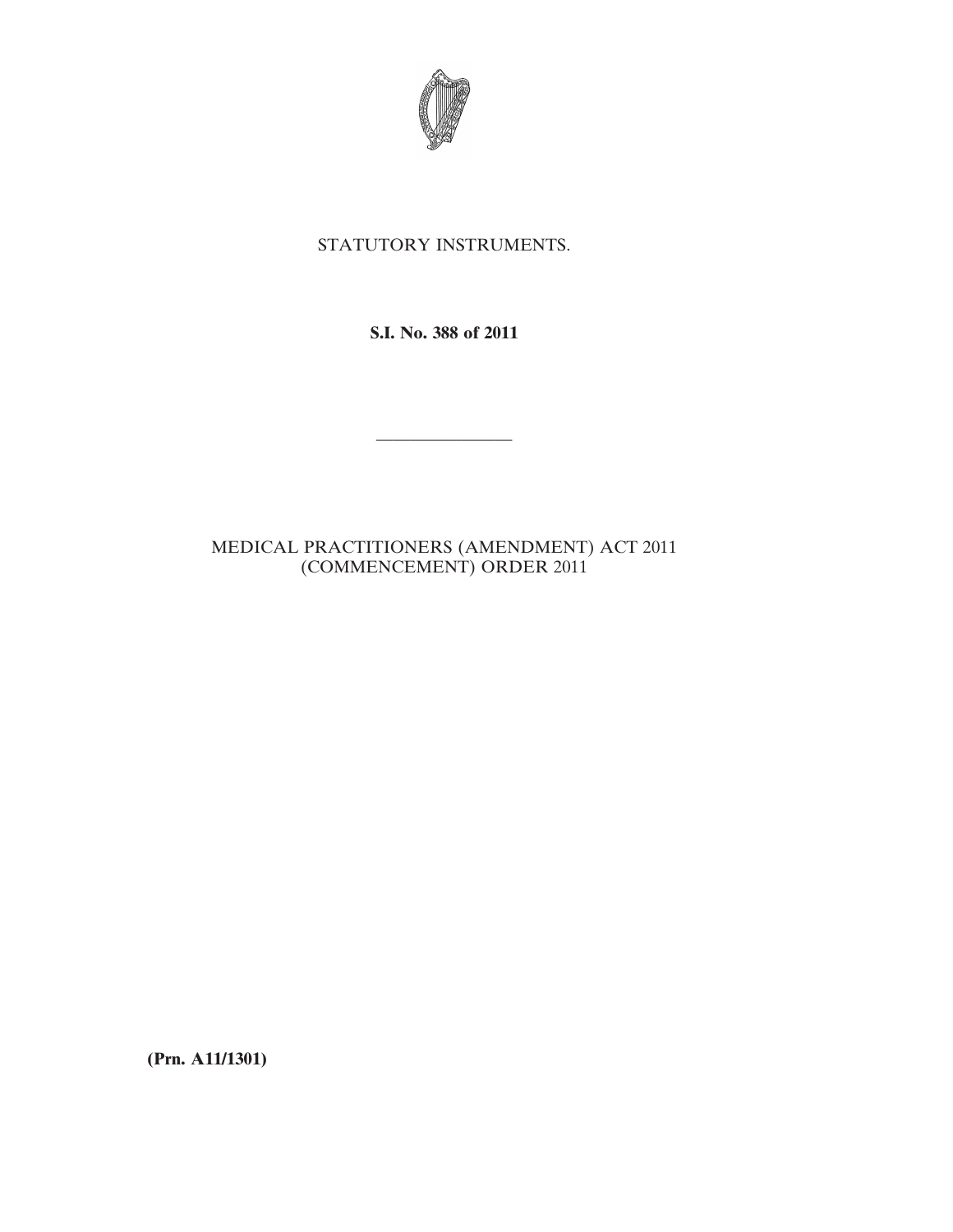

## STATUTORY INSTRUMENTS.

**S.I. No. 388 of 2011**

————————

## MEDICAL PRACTITIONERS (AMENDMENT) ACT 2011 (COMMENCEMENT) ORDER 2011

**(Prn. A11/1301)**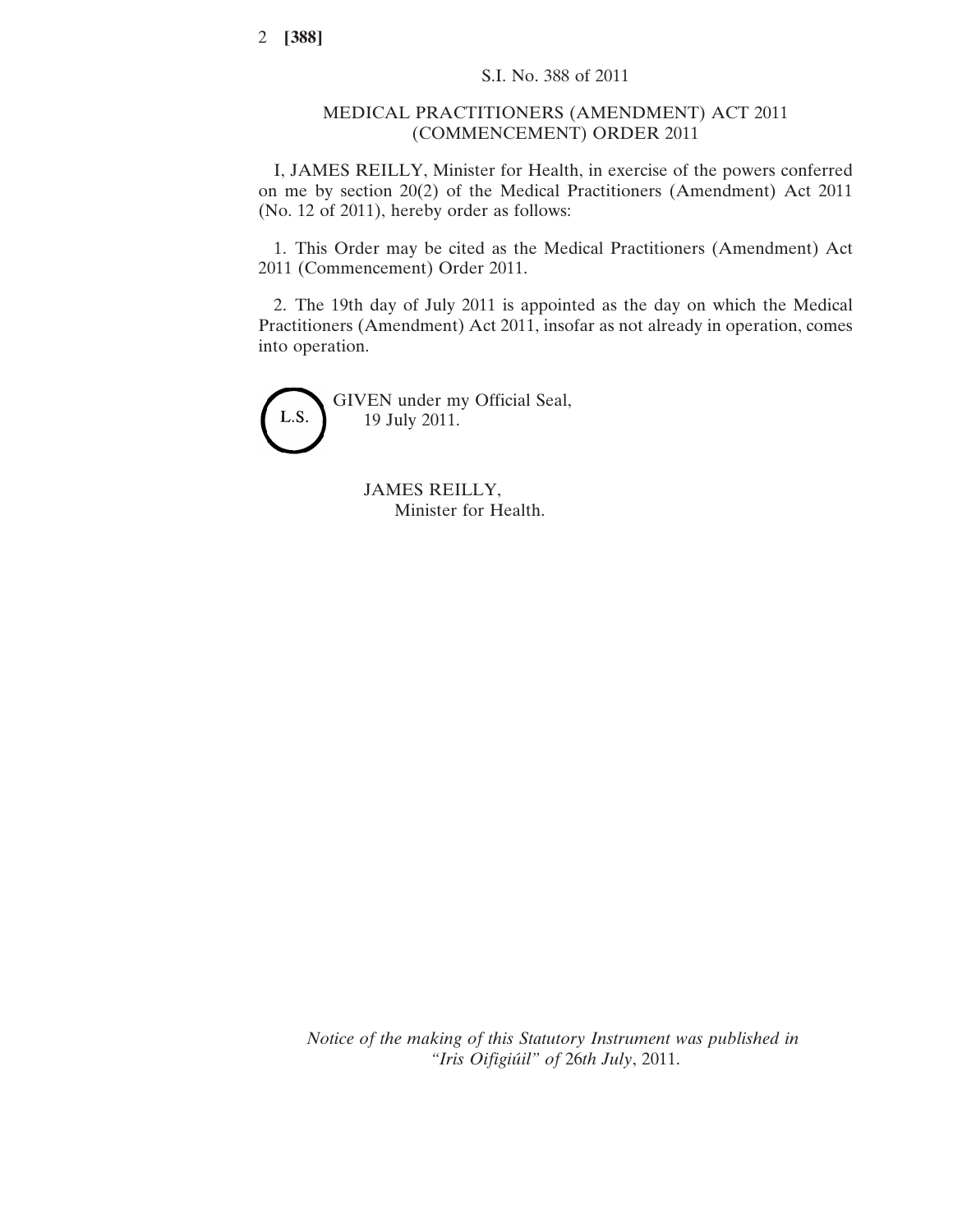2 **[388]**

## MEDICAL PRACTITIONERS (AMENDMENT) ACT 2011 (COMMENCEMENT) ORDER 2011

I, JAMES REILLY, Minister for Health, in exercise of the powers conferred on me by section 20(2) of the Medical Practitioners (Amendment) Act 2011 (No. 12 of 2011), hereby order as follows:

1. This Order may be cited as the Medical Practitioners (Amendment) Act 2011 (Commencement) Order 2011.

2. The 19th day of July 2011 is appointed as the day on which the Medical Practitioners (Amendment) Act 2011, insofar as not already in operation, comes into operation.

GIVEN under my Official Seal, L.S. 19 July 2011.

> JAMES REILLY, Minister for Health.

*Notice of the making of this Statutory Instrument was published in "Iris Oifigiúil" of* 26*th July*, 2011.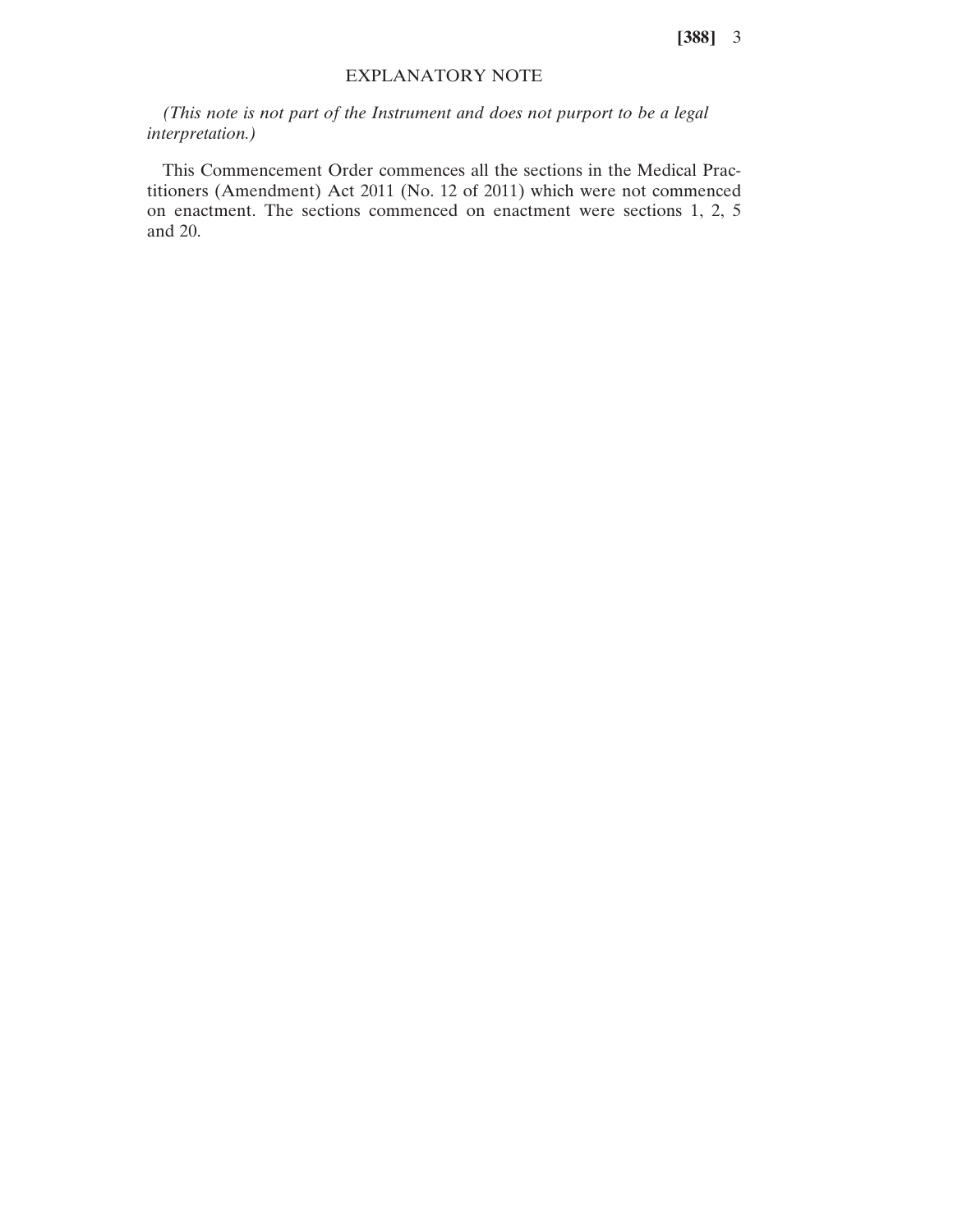**[388]** 3

## EXPLANATORY NOTE

*(This note is not part of the Instrument and does not purport to be a legal interpretation.)*

This Commencement Order commences all the sections in the Medical Practitioners (Amendment) Act 2011 (No. 12 of 2011) which were not commenced on enactment. The sections commenced on enactment were sections 1, 2, 5 and 20.